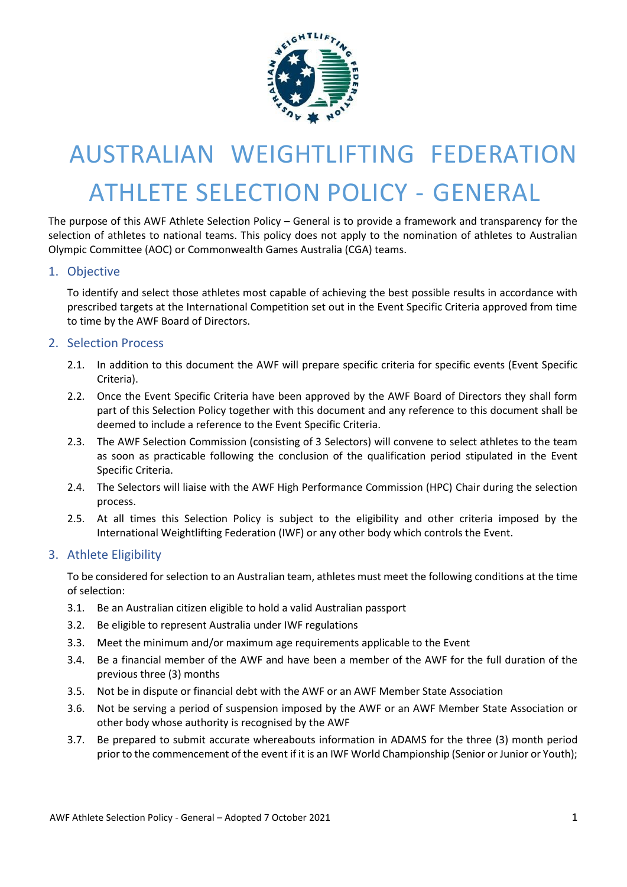

# AUSTRALIAN WEIGHTLIFTING FEDERATION ATHLETE SELECTION POLICY - GENERAL

The purpose of this AWF Athlete Selection Policy – General is to provide a framework and transparency for the selection of athletes to national teams. This policy does not apply to the nomination of athletes to Australian Olympic Committee (AOC) or Commonwealth Games Australia (CGA) teams.

## 1. Objective

To identify and select those athletes most capable of achieving the best possible results in accordance with prescribed targets at the International Competition set out in the Event Specific Criteria approved from time to time by the AWF Board of Directors.

## 2. Selection Process

- 2.1. In addition to this document the AWF will prepare specific criteria for specific events (Event Specific Criteria).
- 2.2. Once the Event Specific Criteria have been approved by the AWF Board of Directors they shall form part of this Selection Policy together with this document and any reference to this document shall be deemed to include a reference to the Event Specific Criteria.
- 2.3. The AWF Selection Commission (consisting of 3 Selectors) will convene to select athletes to the team as soon as practicable following the conclusion of the qualification period stipulated in the Event Specific Criteria.
- 2.4. The Selectors will liaise with the AWF High Performance Commission (HPC) Chair during the selection process.
- 2.5. At all times this Selection Policy is subject to the eligibility and other criteria imposed by the International Weightlifting Federation (IWF) or any other body which controls the Event.

#### 3. Athlete Eligibility

To be considered for selection to an Australian team, athletes must meet the following conditions at the time of selection:

- 3.1. Be an Australian citizen eligible to hold a valid Australian passport
- 3.2. Be eligible to represent Australia under IWF regulations
- 3.3. Meet the minimum and/or maximum age requirements applicable to the Event
- 3.4. Be a financial member of the AWF and have been a member of the AWF for the full duration of the previous three (3) months
- 3.5. Not be in dispute or financial debt with the AWF or an AWF Member State Association
- 3.6. Not be serving a period of suspension imposed by the AWF or an AWF Member State Association or other body whose authority is recognised by the AWF
- 3.7. Be prepared to submit accurate whereabouts information in ADAMS for the three (3) month period prior to the commencement of the event if it is an IWF World Championship (Senior or Junior or Youth);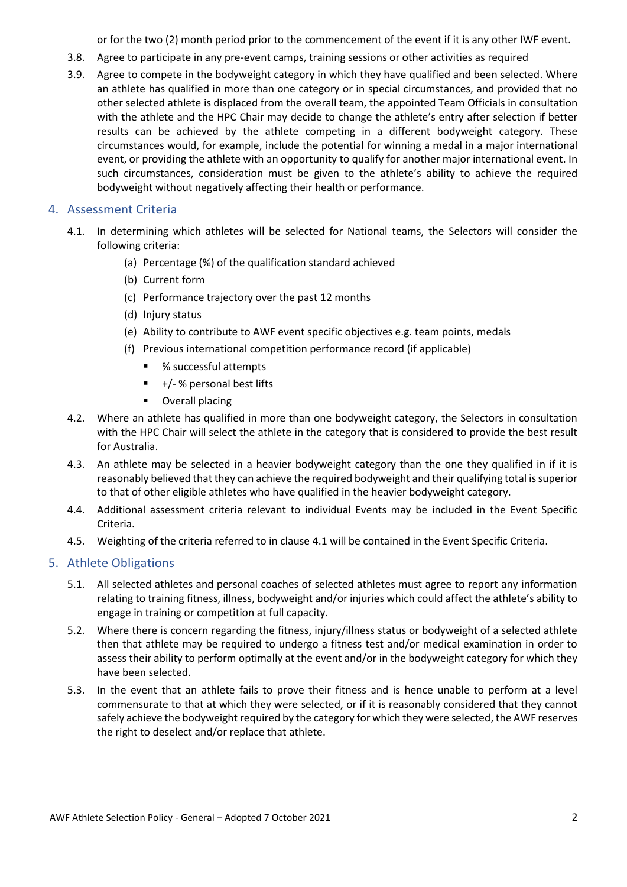or for the two (2) month period prior to the commencement of the event if it is any other IWF event.

- 3.8. Agree to participate in any pre-event camps, training sessions or other activities as required
- 3.9. Agree to compete in the bodyweight category in which they have qualified and been selected. Where an athlete has qualified in more than one category or in special circumstances, and provided that no other selected athlete is displaced from the overall team, the appointed Team Officials in consultation with the athlete and the HPC Chair may decide to change the athlete's entry after selection if better results can be achieved by the athlete competing in a different bodyweight category. These circumstances would, for example, include the potential for winning a medal in a major international event, or providing the athlete with an opportunity to qualify for another major international event. In such circumstances, consideration must be given to the athlete's ability to achieve the required bodyweight without negatively affecting their health or performance.

#### 4. Assessment Criteria

- 4.1. In determining which athletes will be selected for National teams, the Selectors will consider the following criteria:
	- (a) Percentage (%) of the qualification standard achieved
	- (b) Current form
	- (c) Performance trajectory over the past 12 months
	- (d) Injury status
	- (e) Ability to contribute to AWF event specific objectives e.g. team points, medals
	- (f) Previous international competition performance record (if applicable)
		- % successful attempts
		- $\blacksquare$  +/- % personal best lifts
		- Overall placing
- 4.2. Where an athlete has qualified in more than one bodyweight category, the Selectors in consultation with the HPC Chair will select the athlete in the category that is considered to provide the best result for Australia.
- 4.3. An athlete may be selected in a heavier bodyweight category than the one they qualified in if it is reasonably believed that they can achieve the required bodyweight and their qualifying total is superior to that of other eligible athletes who have qualified in the heavier bodyweight category.
- 4.4. Additional assessment criteria relevant to individual Events may be included in the Event Specific Criteria.
- 4.5. Weighting of the criteria referred to in clause 4.1 will be contained in the Event Specific Criteria.

# 5. Athlete Obligations

- 5.1. All selected athletes and personal coaches of selected athletes must agree to report any information relating to training fitness, illness, bodyweight and/or injuries which could affect the athlete's ability to engage in training or competition at full capacity.
- 5.2. Where there is concern regarding the fitness, injury/illness status or bodyweight of a selected athlete then that athlete may be required to undergo a fitness test and/or medical examination in order to assess their ability to perform optimally at the event and/or in the bodyweight category for which they have been selected.
- 5.3. In the event that an athlete fails to prove their fitness and is hence unable to perform at a level commensurate to that at which they were selected, or if it is reasonably considered that they cannot safely achieve the bodyweight required by the category for which they were selected, the AWF reserves the right to deselect and/or replace that athlete.